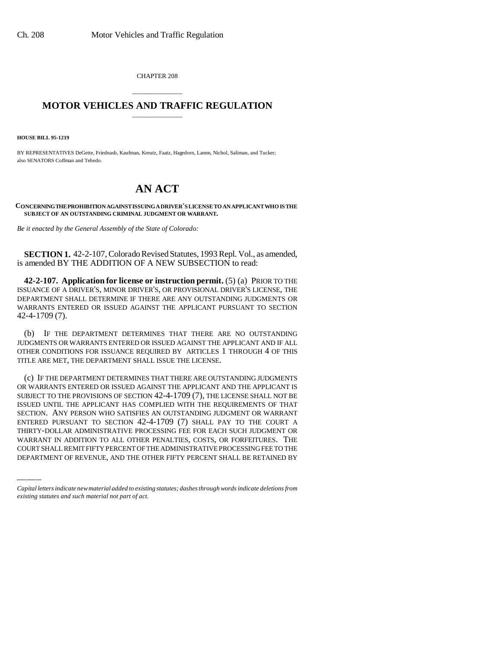CHAPTER 208

## \_\_\_\_\_\_\_\_\_\_\_\_\_\_\_ **MOTOR VEHICLES AND TRAFFIC REGULATION** \_\_\_\_\_\_\_\_\_\_\_\_\_\_\_

**HOUSE BILL 95-1219**

BY REPRESENTATIVES DeGette, Friednash, Kaufman, Kreutz, Faatz, Hagedorn, Lamm, Nichol, Saliman, and Tucker; also SENATORS Coffman and Tebedo.

## **AN ACT**

**CONCERNING THE PROHIBITION AGAINST ISSUING A DRIVER'S LICENSE TO AN APPLICANT WHO IS THE SUBJECT OF AN OUTSTANDING CRIMINAL JUDGMENT OR WARRANT.**

*Be it enacted by the General Assembly of the State of Colorado:*

**SECTION 1.** 42-2-107, Colorado Revised Statutes, 1993 Repl. Vol., as amended, is amended BY THE ADDITION OF A NEW SUBSECTION to read:

**42-2-107. Application for license or instruction permit.** (5) (a) PRIOR TO THE ISSUANCE OF A DRIVER'S, MINOR DRIVER'S, OR PROVISIONAL DRIVER'S LICENSE, THE DEPARTMENT SHALL DETERMINE IF THERE ARE ANY OUTSTANDING JUDGMENTS OR WARRANTS ENTERED OR ISSUED AGAINST THE APPLICANT PURSUANT TO SECTION 42-4-1709 (7).

(b) IF THE DEPARTMENT DETERMINES THAT THERE ARE NO OUTSTANDING JUDGMENTS OR WARRANTS ENTERED OR ISSUED AGAINST THE APPLICANT AND IF ALL OTHER CONDITIONS FOR ISSUANCE REQUIRED BY ARTICLES 1 THROUGH 4 OF THIS TITLE ARE MET, THE DEPARTMENT SHALL ISSUE THE LICENSE.

ENTERED PURSUANT TO SECTION 42-4-1709 (7) SHALL PAY TO THE COURT A (c) IF THE DEPARTMENT DETERMINES THAT THERE ARE OUTSTANDING JUDGMENTS OR WARRANTS ENTERED OR ISSUED AGAINST THE APPLICANT AND THE APPLICANT IS SUBJECT TO THE PROVISIONS OF SECTION 42-4-1709 (7), THE LICENSE SHALL NOT BE ISSUED UNTIL THE APPLICANT HAS COMPLIED WITH THE REQUIREMENTS OF THAT SECTION. ANY PERSON WHO SATISFIES AN OUTSTANDING JUDGMENT OR WARRANT THIRTY-DOLLAR ADMINISTRATIVE PROCESSING FEE FOR EACH SUCH JUDGMENT OR WARRANT IN ADDITION TO ALL OTHER PENALTIES, COSTS, OR FORFEITURES. THE COURT SHALL REMIT FIFTY PERCENT OF THE ADMINISTRATIVE PROCESSING FEE TO THE DEPARTMENT OF REVENUE, AND THE OTHER FIFTY PERCENT SHALL BE RETAINED BY

*Capital letters indicate new material added to existing statutes; dashes through words indicate deletions from existing statutes and such material not part of act.*